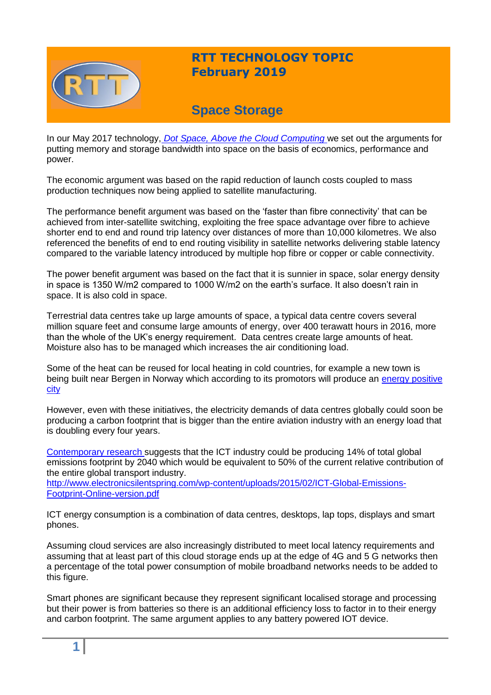

# **RTT TECHNOLOGY TOPIC February 2019**

# **Space Storage**

In our May 2017 technology, *[Dot Space, Above the Cloud Computing](https://www.rttonline.com/tt/TT2017_005.pdf)* we set out the arguments for putting memory and storage bandwidth into space on the basis of economics, performance and power.

The economic argument was based on the rapid reduction of launch costs coupled to mass production techniques now being applied to satellite manufacturing.

The performance benefit argument was based on the 'faster than fibre connectivity' that can be achieved from inter-satellite switching, exploiting the free space advantage over fibre to achieve shorter end to end and round trip latency over distances of more than 10,000 kilometres. We also referenced the benefits of end to end routing visibility in satellite networks delivering stable latency compared to the variable latency introduced by multiple hop fibre or copper or cable connectivity.

The power benefit argument was based on the fact that it is sunnier in space, solar energy density in space is 1350 W/m2 compared to 1000 W/m2 on the earth's surface. It also doesn't rain in space. It is also cold in space.

Terrestrial data centres take up large amounts of space, a typical data centre covers several million square feet and consume large amounts of energy, over 400 terawatt hours in 2016, more than the whole of the UK's energy requirement. Data centres create large amounts of heat. Moisture also has to be managed which increases the air conditioning load.

Some of the heat can be reused for local heating in cold countries, for example a new town is being built near Bergen in Norway which according to its promotors will produce an [energy positive](https://www.fastcompany.com/90219684/this-town-will-get-its-heat-from-an-unlikely-source-a-data-center)  [city](https://www.fastcompany.com/90219684/this-town-will-get-its-heat-from-an-unlikely-source-a-data-center) 

However, even with these initiatives, the electricity demands of data centres globally could soon be producing a carbon footprint that is bigger than the entire aviation industry with an energy load that is doubling every four years.

[Contemporary research s](http://www.electronicsilentspring.com/wp-content/uploads/2015/02/ICT-Global-Emissions-Footprint-Online-version.pdf)uggests that the ICT industry could be producing 14% of total global emissions footprint by 2040 which would be equivalent to 50% of the current relative contribution of the entire global transport industry.

[http://www.electronicsilentspring.com/wp-content/uploads/2015/02/ICT-Global-Emissions-](http://www.electronicsilentspring.com/wp-content/uploads/2015/02/ICT-Global-Emissions-Footprint-Online-version.pdf)[Footprint-Online-version.pdf](http://www.electronicsilentspring.com/wp-content/uploads/2015/02/ICT-Global-Emissions-Footprint-Online-version.pdf)

ICT energy consumption is a combination of data centres, desktops, lap tops, displays and smart phones.

Assuming cloud services are also increasingly distributed to meet local latency requirements and assuming that at least part of this cloud storage ends up at the edge of 4G and 5 G networks then a percentage of the total power consumption of mobile broadband networks needs to be added to this figure.

Smart phones are significant because they represent significant localised storage and processing but their power is from batteries so there is an additional efficiency loss to factor in to their energy and carbon footprint. The same argument applies to any battery powered IOT device.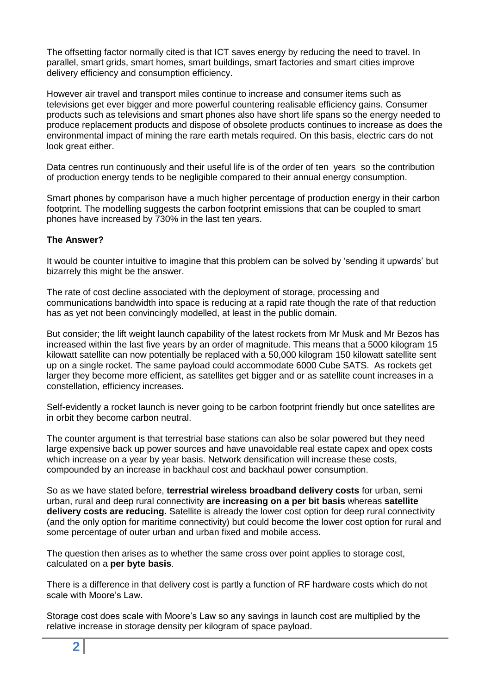The offsetting factor normally cited is that ICT saves energy by reducing the need to travel. In parallel, smart grids, smart homes, smart buildings, smart factories and smart cities improve delivery efficiency and consumption efficiency.

However air travel and transport miles continue to increase and consumer items such as televisions get ever bigger and more powerful countering realisable efficiency gains. Consumer products such as televisions and smart phones also have short life spans so the energy needed to produce replacement products and dispose of obsolete products continues to increase as does the environmental impact of mining the rare earth metals required. On this basis, electric cars do not look great either.

Data centres run continuously and their useful life is of the order of ten years so the contribution of production energy tends to be negligible compared to their annual energy consumption.

Smart phones by comparison have a much higher percentage of production energy in their carbon footprint. The modelling suggests the carbon footprint emissions that can be coupled to smart phones have increased by 730% in the last ten years.

# **The Answer?**

It would be counter intuitive to imagine that this problem can be solved by 'sending it upwards' but bizarrely this might be the answer.

The rate of cost decline associated with the deployment of storage, processing and communications bandwidth into space is reducing at a rapid rate though the rate of that reduction has as yet not been convincingly modelled, at least in the public domain.

But consider; the lift weight launch capability of the latest rockets from Mr Musk and Mr Bezos has increased within the last five years by an order of magnitude. This means that a 5000 kilogram 15 kilowatt satellite can now potentially be replaced with a 50,000 kilogram 150 kilowatt satellite sent up on a single rocket. The same payload could accommodate 6000 Cube SATS. As rockets get larger they become more efficient, as satellites get bigger and or as satellite count increases in a constellation, efficiency increases.

Self-evidently a rocket launch is never going to be carbon footprint friendly but once satellites are in orbit they become carbon neutral.

The counter argument is that terrestrial base stations can also be solar powered but they need large expensive back up power sources and have unavoidable real estate capex and opex costs which increase on a year by year basis. Network densification will increase these costs, compounded by an increase in backhaul cost and backhaul power consumption.

So as we have stated before, **terrestrial wireless broadband delivery costs** for urban, semi urban, rural and deep rural connectivity **are increasing on a per bit basis** whereas **satellite delivery costs are reducing.** Satellite is already the lower cost option for deep rural connectivity (and the only option for maritime connectivity) but could become the lower cost option for rural and some percentage of outer urban and urban fixed and mobile access.

The question then arises as to whether the same cross over point applies to storage cost, calculated on a **per byte basis**.

There is a difference in that delivery cost is partly a function of RF hardware costs which do not scale with Moore's Law.

Storage cost does scale with Moore's Law so any savings in launch cost are multiplied by the relative increase in storage density per kilogram of space payload.